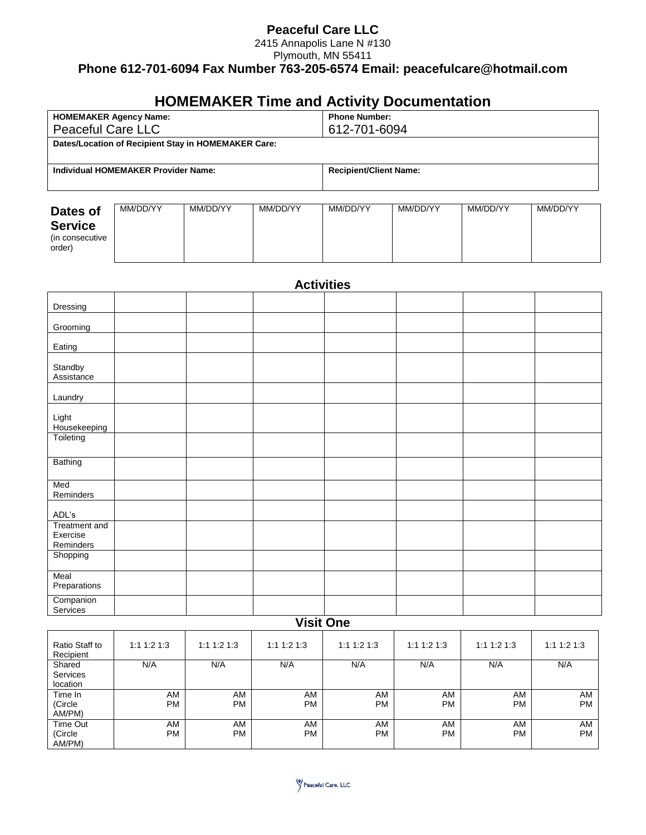## **Peaceful Care LLC**

2415 Annapolis Lane N #130

Plymouth, MN 55411

**Phone 612-701-6094 Fax Number 763-205-6574 Email: peacefulcare@hotmail.com**

# **HOMEMAKER Time and Activity Documentation**

| <b>HOMEMAKER Agency Name:</b><br><b>Peaceful Care LLC</b> | <b>Phone Number:</b><br>612-701-6094 |  |  |  |  |
|-----------------------------------------------------------|--------------------------------------|--|--|--|--|
| Dates/Location of Recipient Stay in HOMEMAKER Care:       |                                      |  |  |  |  |
| Individual HOMEMAKER Provider Name:                       | <b>Recipient/Client Name:</b>        |  |  |  |  |
|                                                           |                                      |  |  |  |  |

| Dates of                                     | MM/DD/YY | MM/DD/YY | MM/DD/YY | MM/DD/YY | MM/DD/YY | MM/DD/YY | MM/DD/YY |
|----------------------------------------------|----------|----------|----------|----------|----------|----------|----------|
| <b>Service</b><br>(in consecutive)<br>order) |          |          |          |          |          |          |          |
|                                              |          |          |          |          |          |          |          |

| <b>Activities</b>                             |             |             |             |                  |             |             |             |
|-----------------------------------------------|-------------|-------------|-------------|------------------|-------------|-------------|-------------|
| Dressing                                      |             |             |             |                  |             |             |             |
| Grooming                                      |             |             |             |                  |             |             |             |
| Eating                                        |             |             |             |                  |             |             |             |
| Standby<br>Assistance                         |             |             |             |                  |             |             |             |
| Laundry                                       |             |             |             |                  |             |             |             |
| Light<br>Housekeeping                         |             |             |             |                  |             |             |             |
| Toileting                                     |             |             |             |                  |             |             |             |
| Bathing                                       |             |             |             |                  |             |             |             |
| Med<br>Reminders                              |             |             |             |                  |             |             |             |
| ADL's                                         |             |             |             |                  |             |             |             |
| <b>Treatment and</b><br>Exercise<br>Reminders |             |             |             |                  |             |             |             |
| Shopping                                      |             |             |             |                  |             |             |             |
| Meal<br>Preparations                          |             |             |             |                  |             |             |             |
| Companion<br>Services                         |             |             |             |                  |             |             |             |
|                                               |             |             |             | <b>Visit One</b> |             |             |             |
| Ratio Staff to                                | 1:1 1:2 1:3 | 1:1 1:2 1:3 | 1:1 1:2 1:3 | 1:1 1:2 1:3      | 1:1 1:2 1:3 | 1:1 1:2 1:3 | 1:1 1:2 1:3 |

| Ratio Staff to<br>Recipient | $1:1$ 1:2 1:3 | $1:1$ 1:2 1:3 | $1:1$ 1:2 1:3 | 1:1 1:2 1:3 | $1:1$ 1:2 1:3 | $1:1$ 1:2 1:3 | 1:1 1:2 1:3 |
|-----------------------------|---------------|---------------|---------------|-------------|---------------|---------------|-------------|
| Shared                      | N/A           | N/A           | N/A           | N/A         | N/A           | N/A           | N/A         |
| Services                    |               |               |               |             |               |               |             |
| location                    |               |               |               |             |               |               |             |
| Time In                     | AM            | AM            | AM            | AM          | AM            | AM            | AM          |
| (Circle                     | <b>PM</b>     | <b>PM</b>     | <b>PM</b>     | <b>PM</b>   | <b>PM</b>     | <b>PM</b>     | <b>PM</b>   |
| AM/PM)                      |               |               |               |             |               |               |             |
| Time Out                    | AM            | AM            | AM            | AM          | AM            | AM            | AM          |
| (Circle                     | <b>PM</b>     | <b>PM</b>     | <b>PM</b>     | <b>PM</b>   | <b>PM</b>     | <b>PM</b>     | <b>PM</b>   |
| AM/PM)                      |               |               |               |             |               |               |             |